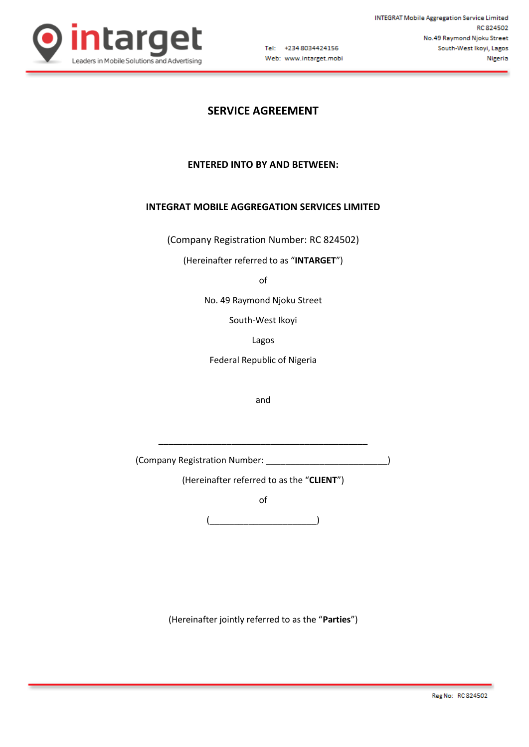

Tel: +234 8034424156 Web: www.intarget.mobi

# **SERVICE AGREEMENT**

# **ENTERED INTO BY AND BETWEEN:**

# **INTEGRAT MOBILE AGGREGATION SERVICES LIMITED**

(Company Registration Number: RC 824502)

(Hereinafter referred to as "**INTARGET**")

of

No. 49 Raymond Njoku Street

South-West Ikoyi

Lagos

Federal Republic of Nigeria

and

(Company Registration Number: \_\_\_\_\_\_\_\_\_\_\_\_\_\_\_\_\_\_\_\_\_\_\_\_\_)

**\_\_\_\_\_\_\_\_\_\_\_\_\_\_\_\_\_\_\_\_\_\_\_\_\_\_\_\_\_\_\_\_\_\_\_\_\_\_\_\_\_\_\_**

(Hereinafter referred to as the "**CLIENT**")

of

 $\overline{\phantom{a}}$ 

(Hereinafter jointly referred to as the "**Parties**")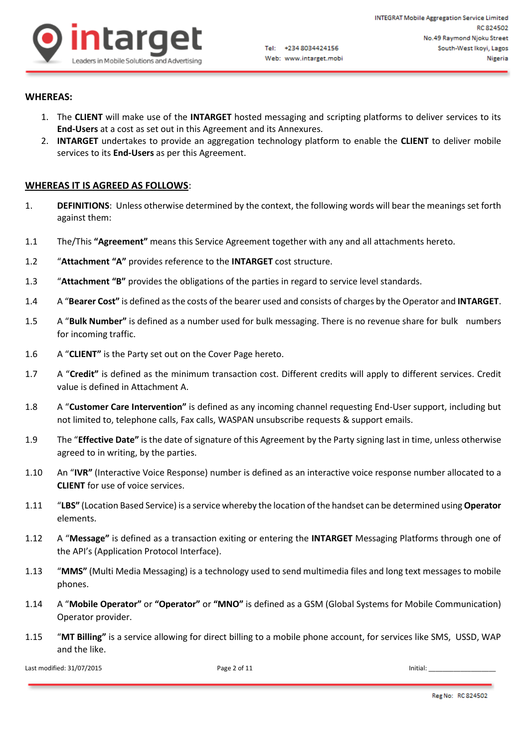

# **WHEREAS:**

- 1. The **CLIENT** will make use of the **INTARGET** hosted messaging and scripting platforms to deliver services to its **End-Users** at a cost as set out in this Agreement and its Annexures.
- 2. **INTARGET** undertakes to provide an aggregation technology platform to enable the **CLIENT** to deliver mobile services to its **End-Users** as per this Agreement.

#### **WHEREAS IT IS AGREED AS FOLLOWS**:

- 1. **DEFINITIONS**: Unless otherwise determined by the context, the following words will bear the meanings set forth against them:
- 1.1 The/This **"Agreement"** means this Service Agreement together with any and all attachments hereto.
- 1.2 "**Attachment "A"** provides reference to the **INTARGET** cost structure.
- 1.3 "**Attachment "B"** provides the obligations of the parties in regard to service level standards.
- 1.4 A "**Bearer Cost"** is defined as the costs of the bearer used and consists of charges by the Operator and **INTARGET**.
- 1.5 A "**Bulk Number"** is defined as a number used for bulk messaging. There is no revenue share for bulk numbers for incoming traffic.
- 1.6 A "**CLIENT"** is the Party set out on the Cover Page hereto.
- 1.7 A "**Credit"** is defined as the minimum transaction cost. Different credits will apply to different services. Credit value is defined in Attachment A.
- 1.8 A "**Customer Care Intervention"** is defined as any incoming channel requesting End-User support, including but not limited to, telephone calls, Fax calls, WASPAN unsubscribe requests & support emails.
- 1.9 The "**Effective Date"** is the date of signature of this Agreement by the Party signing last in time, unless otherwise agreed to in writing, by the parties.
- 1.10 An "**IVR"** (Interactive Voice Response) number is defined as an interactive voice response number allocated to a **CLIENT** for use of voice services.
- 1.11 "**LBS"** (Location Based Service) is a service whereby the location of the handset can be determined using **Operator** elements.
- 1.12 A "**Message"** is defined as a transaction exiting or entering the **INTARGET** Messaging Platforms through one of the API's (Application Protocol Interface).
- 1.13 "**MMS"** (Multi Media Messaging) is a technology used to send multimedia files and long text messages to mobile phones.
- 1.14 A "**Mobile Operator"** or **"Operator"** or **"MNO"** is defined as a GSM (Global Systems for Mobile Communication) Operator provider.
- 1.15 "**MT Billing"** is a service allowing for direct billing to a mobile phone account, for services like SMS, USSD, WAP and the like.

Last modified: 31/07/2015 Page 2 of 11 Initial: \_\_\_\_\_\_\_\_\_\_\_\_\_\_\_\_\_\_\_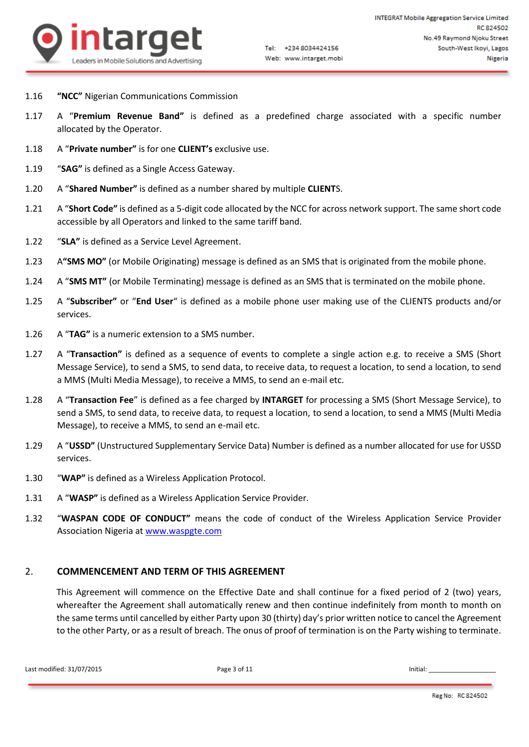

- 1.16 **"NCC"** Nigerian Communications Commission
- 1.17 A "**Premium Revenue Band"** is defined as a predefined charge associated with a specific number allocated by the Operator.
- 1.18 A "**Private number"** is for one **CLIENT's** exclusive use.
- 1.19 "**SAG"** is defined as a Single Access Gateway.
- 1.20 A "**Shared Number"** is defined as a number shared by multiple **CLIENT**S.
- 1.21 A "**Short Code"** is defined as a 5-digit code allocated by the NCC for across network support. The same short code accessible by all Operators and linked to the same tariff band.
- 1.22 "**SLA"** is defined as a Service Level Agreement.
- 1.23 A**"SMS MO"** (or Mobile Originating) message is defined as an SMS that is originated from the mobile phone.
- 1.24 A "**SMS MT"** (or Mobile Terminating) message is defined as an SMS that is terminated on the mobile phone.
- 1.25 A "**Subscriber"** or "**End User**" is defined as a mobile phone user making use of the CLIENTS products and/or services.
- 1.26 A "**TAG"** is a numeric extension to a SMS number.
- 1.27 A "**Transaction"** is defined as a sequence of events to complete a single action e.g. to receive a SMS (Short Message Service), to send a SMS, to send data, to receive data, to request a location, to send a location, to send a MMS (Multi Media Message), to receive a MMS, to send an e-mail etc.
- 1.28 A "**Transaction Fee**" is defined as a fee charged by **INTARGET** for processing a SMS (Short Message Service), to send a SMS, to send data, to receive data, to request a location, to send a location, to send a MMS (Multi Media Message), to receive a MMS, to send an e-mail etc.
- 1.29 A "**USSD"** (Unstructured Supplementary Service Data) Number is defined as a number allocated for use for USSD services.
- 1.30 "**WAP"** is defined as a Wireless Application Protocol.
- 1.31 A "**WASP"** is defined as a Wireless Application Service Provider.
- 1.32 "**WASPAN CODE OF CONDUCT"** means the code of conduct of the Wireless Application Service Provider Association Nigeria a[t www.waspgte.com](http://www.waspgte.com/)

#### 2. **COMMENCEMENT AND TERM OF THIS AGREEMENT**

This Agreement will commence on the Effective Date and shall continue for a fixed period of 2 (two) years, whereafter the Agreement shall automatically renew and then continue indefinitely from month to month on the same terms until cancelled by either Party upon 30 (thirty) day's prior written notice to cancel the Agreement to the other Party, or as a result of breach. The onus of proof of termination is on the Party wishing to terminate.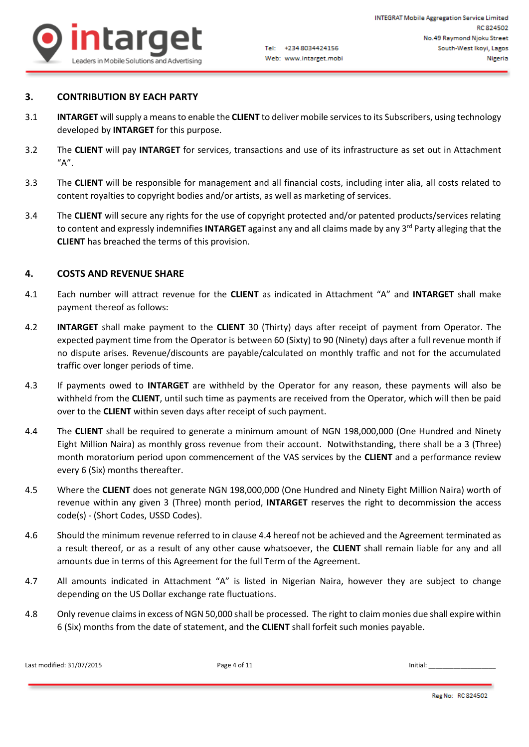

# **3. CONTRIBUTION BY EACH PARTY**

- 3.1 **INTARGET** will supply a means to enable the **CLIENT** to deliver mobile services to its Subscribers, using technology developed by **INTARGET** for this purpose.
- 3.2 The **CLIENT** will pay **INTARGET** for services, transactions and use of its infrastructure as set out in Attachment  $''A''$ .
- 3.3 The **CLIENT** will be responsible for management and all financial costs, including inter alia, all costs related to content royalties to copyright bodies and/or artists, as well as marketing of services.
- 3.4 The **CLIENT** will secure any rights for the use of copyright protected and/or patented products/services relating to content and expressly indemnifies **INTARGET** against any and all claims made by any 3<sup>rd</sup> Party alleging that the **CLIENT** has breached the terms of this provision.

# **4. COSTS AND REVENUE SHARE**

- 4.1 Each number will attract revenue for the **CLIENT** as indicated in Attachment "A" and **INTARGET** shall make payment thereof as follows:
- 4.2 **INTARGET** shall make payment to the **CLIENT** 30 (Thirty) days after receipt of payment from Operator. The expected payment time from the Operator is between 60 (Sixty) to 90 (Ninety) days after a full revenue month if no dispute arises. Revenue/discounts are payable/calculated on monthly traffic and not for the accumulated traffic over longer periods of time.
- 4.3 If payments owed to **INTARGET** are withheld by the Operator for any reason, these payments will also be withheld from the **CLIENT**, until such time as payments are received from the Operator, which will then be paid over to the **CLIENT** within seven days after receipt of such payment.
- 4.4 The **CLIENT** shall be required to generate a minimum amount of NGN 198,000,000 (One Hundred and Ninety Eight Million Naira) as monthly gross revenue from their account. Notwithstanding, there shall be a 3 (Three) month moratorium period upon commencement of the VAS services by the **CLIENT** and a performance review every 6 (Six) months thereafter.
- 4.5 Where the **CLIENT** does not generate NGN 198,000,000 (One Hundred and Ninety Eight Million Naira) worth of revenue within any given 3 (Three) month period, **INTARGET** reserves the right to decommission the access code(s) - (Short Codes, USSD Codes).
- 4.6 Should the minimum revenue referred to in clause 4.4 hereof not be achieved and the Agreement terminated as a result thereof, or as a result of any other cause whatsoever, the **CLIENT** shall remain liable for any and all amounts due in terms of this Agreement for the full Term of the Agreement.
- 4.7 All amounts indicated in Attachment "A" is listed in Nigerian Naira, however they are subject to change depending on the US Dollar exchange rate fluctuations.
- 4.8 Only revenue claims in excess of NGN 50,000 shall be processed. The right to claim monies due shall expire within 6 (Six) months from the date of statement, and the **CLIENT** shall forfeit such monies payable.

```
Last modified: 31/07/2015 Page 4 of 11 Page 4 of 11 Initial: Last modified: 31/07/2015
```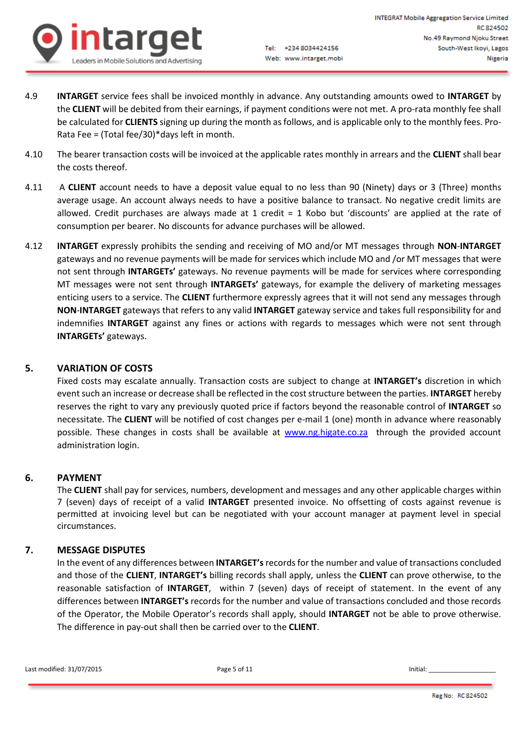

- 4.9 **INTARGET** service fees shall be invoiced monthly in advance. Any outstanding amounts owed to **INTARGET** by the **CLIENT** will be debited from their earnings, if payment conditions were not met. A pro-rata monthly fee shall be calculated for **CLIENTS** signing up during the month as follows, and is applicable only to the monthly fees. Pro-Rata Fee = (Total fee/30)\*days left in month.
- 4.10 The bearer transaction costs will be invoiced at the applicable rates monthly in arrears and the **CLIENT** shall bear the costs thereof.
- 4.11 A **CLIENT** account needs to have a deposit value equal to no less than 90 (Ninety) days or 3 (Three) months average usage. An account always needs to have a positive balance to transact. No negative credit limits are allowed. Credit purchases are always made at 1 credit = 1 Kobo but 'discounts' are applied at the rate of consumption per bearer. No discounts for advance purchases will be allowed.
- 4.12 **INTARGET** expressly prohibits the sending and receiving of MO and/or MT messages through **NON**-**INTARGET** gateways and no revenue payments will be made for services which include MO and /or MT messages that were not sent through **INTARGETs'** gateways. No revenue payments will be made for services where corresponding MT messages were not sent through **INTARGETs'** gateways, for example the delivery of marketing messages enticing users to a service. The **CLIENT** furthermore expressly agrees that it will not send any messages through **NON**-**INTARGET** gateways that refers to any valid **INTARGET** gateway service and takes full responsibility for and indemnifies **INTARGET** against any fines or actions with regards to messages which were not sent through **INTARGETs'** gateways.

# **5. VARIATION OF COSTS**

Fixed costs may escalate annually. Transaction costs are subject to change at **INTARGET's** discretion in which event such an increase or decrease shall be reflected in the cost structure between the parties. **INTARGET** hereby reserves the right to vary any previously quoted price if factors beyond the reasonable control of **INTARGET** so necessitate. The **CLIENT** will be notified of cost changes per e-mail 1 (one) month in advance where reasonably possible. These changes in costs shall be available at [www.ng.higate.co.za](http://www.ng.higate.co.za/) through the provided account administration login.

#### **6. PAYMENT**

The **CLIENT** shall pay for services, numbers, development and messages and any other applicable charges within 7 (seven) days of receipt of a valid **INTARGET** presented invoice. No offsetting of costs against revenue is permitted at invoicing level but can be negotiated with your account manager at payment level in special circumstances.

# **7. MESSAGE DISPUTES**

In the event of any differences between **INTARGET's**records for the number and value of transactions concluded and those of the **CLIENT**, **INTARGET's** billing records shall apply, unless the **CLIENT** can prove otherwise, to the reasonable satisfaction of **INTARGET**, within 7 (seven) days of receipt of statement. In the event of any differences between **INTARGET's** records for the number and value of transactions concluded and those records of the Operator, the Mobile Operator's records shall apply, should **INTARGET** not be able to prove otherwise. The difference in pay-out shall then be carried over to the **CLIENT**.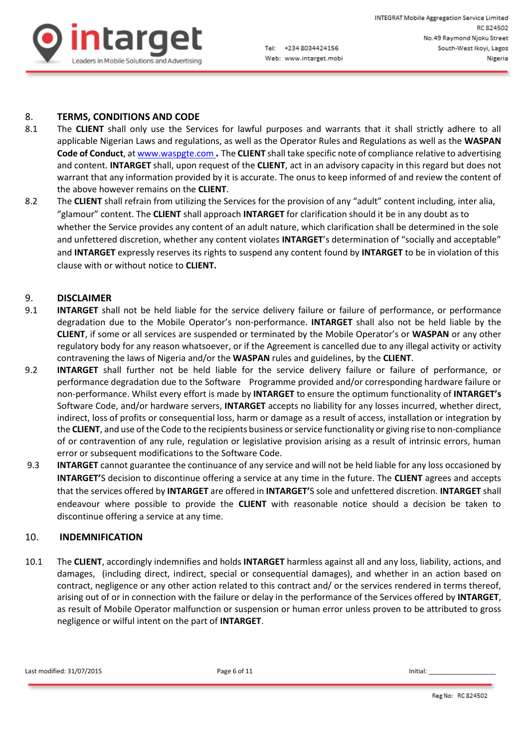

# 8. **TERMS, CONDITIONS AND CODE**

- 8.1 The **CLIENT** shall only use the Services for lawful purposes and warrants that it shall strictly adhere to all applicable Nigerian Laws and regulations, as well as the Operator Rules and Regulations as well as the **WASPAN Code of Conduct**, a[t www.waspgte.com](http://www.waspgte.com/) **.** The **CLIENT** shall take specific note of compliance relative to advertising and content. **INTARGET** shall, upon request of the **CLIENT**, act in an advisory capacity in this regard but does not warrant that any information provided by it is accurate. The onus to keep informed of and review the content of the above however remains on the **CLIENT**.
- 8.2 The **CLIENT** shall refrain from utilizing the Services for the provision of any "adult" content including, inter alia, "glamour" content. The **CLIENT** shall approach **INTARGET** for clarification should it be in any doubt as to whether the Service provides any content of an adult nature, which clarification shall be determined in the sole and unfettered discretion, whether any content violates **INTARGET**'s determination of "socially and acceptable" and **INTARGET** expressly reserves its rights to suspend any content found by **INTARGET** to be in violation of this clause with or without notice to **CLIENT.**

# 9. **DISCLAIMER**

- 9.1 **INTARGET** shall not be held liable for the service delivery failure or failure of performance, or performance degradation due to the Mobile Operator's non-performance. **INTARGET** shall also not be held liable by the **CLIENT**, if some or all services are suspended or terminated by the Mobile Operator's or **WASPAN** or any other regulatory body for any reason whatsoever, or if the Agreement is cancelled due to any illegal activity or activity contravening the laws of Nigeria and/or the **WASPAN** rules and guidelines, by the **CLIENT**.
- 9.2 **INTARGET** shall further not be held liable for the service delivery failure or failure of performance, or performance degradation due to the Software Programme provided and/or corresponding hardware failure or non-performance. Whilst every effort is made by **INTARGET** to ensure the optimum functionality of **INTARGET's** Software Code, and/or hardware servers, **INTARGET** accepts no liability for any losses incurred, whether direct, indirect, loss of profits or consequential loss, harm or damage as a result of access, installation or integration by the **CLIENT**, and use of the Code to the recipients business or service functionality or giving rise to non-compliance of or contravention of any rule, regulation or legislative provision arising as a result of intrinsic errors, human error or subsequent modifications to the Software Code.
- 9.3 **INTARGET** cannot guarantee the continuance of any service and will not be held liable for any loss occasioned by **INTARGET'**S decision to discontinue offering a service at any time in the future. The **CLIENT** agrees and accepts that the services offered by **INTARGET** are offered in **INTARGET'**S sole and unfettered discretion. **INTARGET** shall endeavour where possible to provide the **CLIENT** with reasonable notice should a decision be taken to discontinue offering a service at any time.

#### 10. **INDEMNIFICATION**

10.1 The **CLIENT**, accordingly indemnifies and holds **INTARGET** harmless against all and any loss, liability, actions, and damages, (including direct, indirect, special or consequential damages), and whether in an action based on contract, negligence or any other action related to this contract and/ or the services rendered in terms thereof, arising out of or in connection with the failure or delay in the performance of the Services offered by **INTARGET**, as result of Mobile Operator malfunction or suspension or human error unless proven to be attributed to gross negligence or wilful intent on the part of **INTARGET**.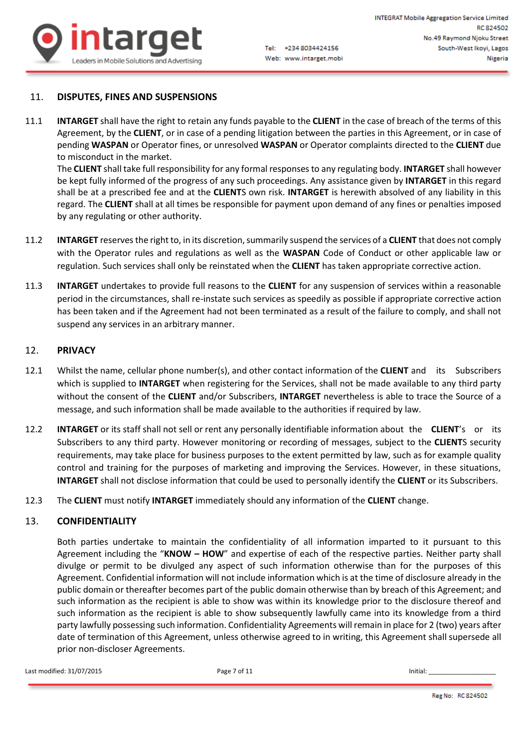

### 11. **DISPUTES, FINES AND SUSPENSIONS**

11.1 **INTARGET** shall have the right to retain any funds payable to the **CLIENT** in the case of breach of the terms of this Agreement, by the **CLIENT**, or in case of a pending litigation between the parties in this Agreement, or in case of pending **WASPAN** or Operator fines, or unresolved **WASPAN** or Operator complaints directed to the **CLIENT** due to misconduct in the market.

The **CLIENT** shall take full responsibility for any formal responses to any regulating body. **INTARGET** shall however be kept fully informed of the progress of any such proceedings. Any assistance given by **INTARGET** in this regard shall be at a prescribed fee and at the **CLIENT**S own risk. **INTARGET** is herewith absolved of any liability in this regard. The **CLIENT** shall at all times be responsible for payment upon demand of any fines or penalties imposed by any regulating or other authority.

- 11.2 **INTARGET** reserves the right to, in its discretion, summarily suspend the services of a **CLIENT** that does not comply with the Operator rules and regulations as well as the **WASPAN** Code of Conduct or other applicable law or regulation. Such services shall only be reinstated when the **CLIENT** has taken appropriate corrective action.
- 11.3 **INTARGET** undertakes to provide full reasons to the **CLIENT** for any suspension of services within a reasonable period in the circumstances, shall re-instate such services as speedily as possible if appropriate corrective action has been taken and if the Agreement had not been terminated as a result of the failure to comply, and shall not suspend any services in an arbitrary manner.

#### 12. **PRIVACY**

- 12.1 Whilst the name, cellular phone number(s), and other contact information of the **CLIENT** and its Subscribers which is supplied to **INTARGET** when registering for the Services, shall not be made available to any third party without the consent of the **CLIENT** and/or Subscribers, **INTARGET** nevertheless is able to trace the Source of a message, and such information shall be made available to the authorities if required by law.
- 12.2 **INTARGET** or its staff shall not sell or rent any personally identifiable information about the **CLIENT**'s or its Subscribers to any third party. However monitoring or recording of messages, subject to the **CLIENT**S security requirements, may take place for business purposes to the extent permitted by law, such as for example quality control and training for the purposes of marketing and improving the Services. However, in these situations, **INTARGET** shall not disclose information that could be used to personally identify the **CLIENT** or its Subscribers.
- 12.3 The **CLIENT** must notify **INTARGET** immediately should any information of the **CLIENT** change.

#### 13. **CONFIDENTIALITY**

Both parties undertake to maintain the confidentiality of all information imparted to it pursuant to this Agreement including the "**KNOW – HOW**" and expertise of each of the respective parties. Neither party shall divulge or permit to be divulged any aspect of such information otherwise than for the purposes of this Agreement. Confidential information will not include information which is at the time of disclosure already in the public domain or thereafter becomes part of the public domain otherwise than by breach of this Agreement; and such information as the recipient is able to show was within its knowledge prior to the disclosure thereof and such information as the recipient is able to show subsequently lawfully came into its knowledge from a third party lawfully possessing such information. Confidentiality Agreements will remain in place for 2 (two) years after date of termination of this Agreement, unless otherwise agreed to in writing, this Agreement shall supersede all prior non-discloser Agreements.

Last modified: 31/07/2015 **Page 7 of 11 Page 7 of 11 Initial:** Last modified: 31/07/2015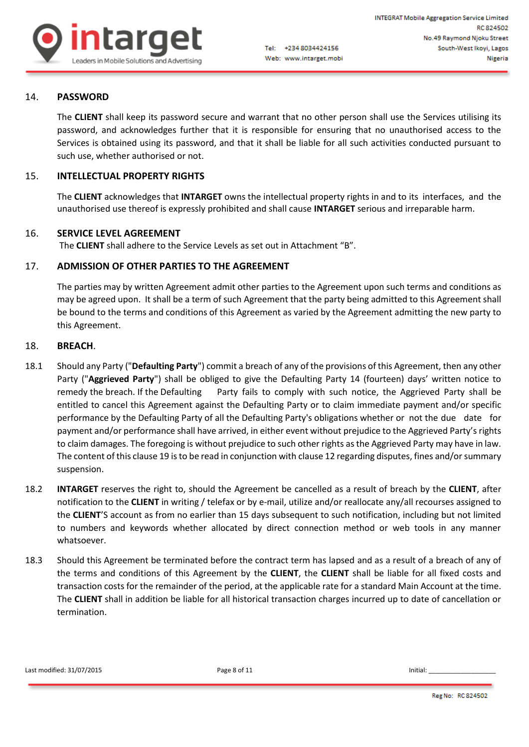

# 14. **PASSWORD**

The **CLIENT** shall keep its password secure and warrant that no other person shall use the Services utilising its password, and acknowledges further that it is responsible for ensuring that no unauthorised access to the Services is obtained using its password, and that it shall be liable for all such activities conducted pursuant to such use, whether authorised or not.

# 15. **INTELLECTUAL PROPERTY RIGHTS**

The **CLIENT** acknowledges that **INTARGET** owns the intellectual property rights in and to its interfaces, and the unauthorised use thereof is expressly prohibited and shall cause **INTARGET** serious and irreparable harm.

#### 16. **SERVICE LEVEL AGREEMENT**

The **CLIENT** shall adhere to the Service Levels as set out in Attachment "B".

# 17. **ADMISSION OF OTHER PARTIES TO THE AGREEMENT**

The parties may by written Agreement admit other parties to the Agreement upon such terms and conditions as may be agreed upon. It shall be a term of such Agreement that the party being admitted to this Agreement shall be bound to the terms and conditions of this Agreement as varied by the Agreement admitting the new party to this Agreement.

#### 18. **BREACH**.

- 18.1 Should any Party ("**Defaulting Party**") commit a breach of any of the provisions of this Agreement, then any other Party ("**Aggrieved Party**") shall be obliged to give the Defaulting Party 14 (fourteen) days' written notice to remedy the breach. If the Defaulting Party fails to comply with such notice, the Aggrieved Party shall be entitled to cancel this Agreement against the Defaulting Party or to claim immediate payment and/or specific performance by the Defaulting Party of all the Defaulting Party's obligations whether or not the due date for payment and/or performance shall have arrived, in either event without prejudice to the Aggrieved Party's rights to claim damages. The foregoing is without prejudice to such other rights as the Aggrieved Party may have in law. The content of this clause 19 is to be read in conjunction with clause 12 regarding disputes, fines and/or summary suspension.
- 18.2 **INTARGET** reserves the right to, should the Agreement be cancelled as a result of breach by the **CLIENT**, after notification to the **CLIENT** in writing / telefax or by e-mail, utilize and/or reallocate any/all recourses assigned to the **CLIENT**'S account as from no earlier than 15 days subsequent to such notification, including but not limited to numbers and keywords whether allocated by direct connection method or web tools in any manner whatsoever.
- 18.3 Should this Agreement be terminated before the contract term has lapsed and as a result of a breach of any of the terms and conditions of this Agreement by the **CLIENT**, the **CLIENT** shall be liable for all fixed costs and transaction costs for the remainder of the period, at the applicable rate for a standard Main Account at the time. The **CLIENT** shall in addition be liable for all historical transaction charges incurred up to date of cancellation or termination.

Last modified:  $31/07/2015$  Page 8 of 11 **Page 8** of 11 **Initial:**  $\blacksquare$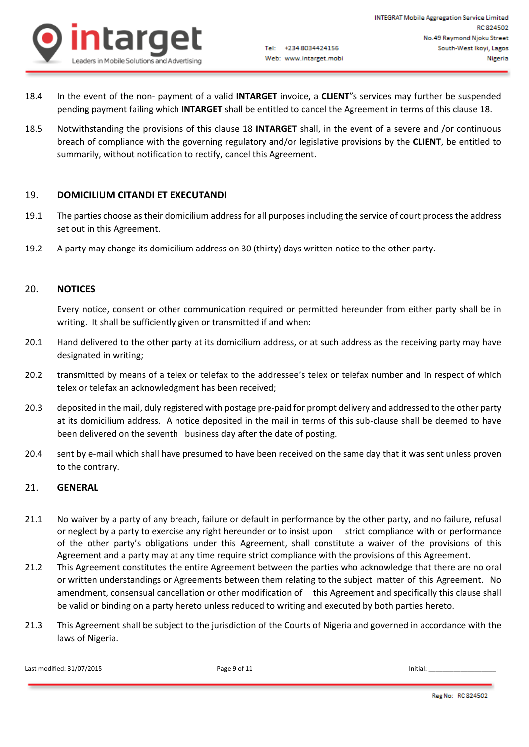

- 18.4 In the event of the non- payment of a valid **INTARGET** invoice, a **CLIENT**"s services may further be suspended pending payment failing which **INTARGET** shall be entitled to cancel the Agreement in terms of this clause 18.
- 18.5 Notwithstanding the provisions of this clause 18 **INTARGET** shall, in the event of a severe and /or continuous breach of compliance with the governing regulatory and/or legislative provisions by the **CLIENT**, be entitled to summarily, without notification to rectify, cancel this Agreement.

# 19. **DOMICILIUM CITANDI ET EXECUTANDI**

- 19.1 The parties choose as their domicilium address for all purposes including the service of court process the address set out in this Agreement.
- 19.2 A party may change its domicilium address on 30 (thirty) days written notice to the other party.

#### 20. **NOTICES**

Every notice, consent or other communication required or permitted hereunder from either party shall be in writing. It shall be sufficiently given or transmitted if and when:

- 20.1 Hand delivered to the other party at its domicilium address, or at such address as the receiving party may have designated in writing;
- 20.2 transmitted by means of a telex or telefax to the addressee's telex or telefax number and in respect of which telex or telefax an acknowledgment has been received;
- 20.3 deposited in the mail, duly registered with postage pre-paid for prompt delivery and addressed to the other party at its domicilium address. A notice deposited in the mail in terms of this sub-clause shall be deemed to have been delivered on the seventh business day after the date of posting.
- 20.4 sent by e-mail which shall have presumed to have been received on the same day that it was sent unless proven to the contrary.

#### 21. **GENERAL**

- 21.1 No waiver by a party of any breach, failure or default in performance by the other party, and no failure, refusal or neglect by a party to exercise any right hereunder or to insist upon strict compliance with or performance of the other party's obligations under this Agreement, shall constitute a waiver of the provisions of this Agreement and a party may at any time require strict compliance with the provisions of this Agreement.
- 21.2 This Agreement constitutes the entire Agreement between the parties who acknowledge that there are no oral or written understandings or Agreements between them relating to the subject matter of this Agreement. No amendment, consensual cancellation or other modification of this Agreement and specifically this clause shall be valid or binding on a party hereto unless reduced to writing and executed by both parties hereto.
- 21.3 This Agreement shall be subject to the jurisdiction of the Courts of Nigeria and governed in accordance with the laws of Nigeria.

Last modified: 31/07/2015 **Page 9 of 11** Page 9 of 11 **Initial:** Last modified: 31/07/2015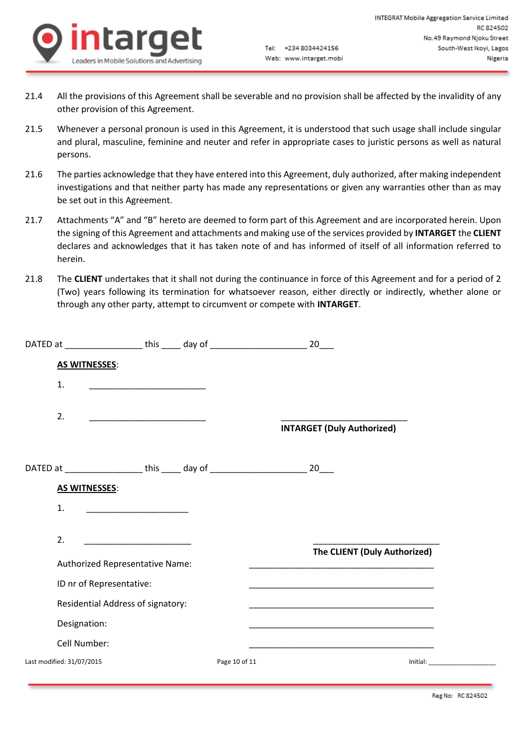

- 21.4 All the provisions of this Agreement shall be severable and no provision shall be affected by the invalidity of any other provision of this Agreement.
- 21.5 Whenever a personal pronoun is used in this Agreement, it is understood that such usage shall include singular and plural, masculine, feminine and neuter and refer in appropriate cases to juristic persons as well as natural persons.
- 21.6 The parties acknowledge that they have entered into this Agreement, duly authorized, after making independent investigations and that neither party has made any representations or given any warranties other than as may be set out in this Agreement.
- 21.7 Attachments "A" and "B" hereto are deemed to form part of this Agreement and are incorporated herein. Upon the signing of this Agreement and attachments and making use of the services provided by **INTARGET** the **CLIENT** declares and acknowledges that it has taken note of and has informed of itself of all information referred to herein.
- 21.8 The **CLIENT** undertakes that it shall not during the continuance in force of this Agreement and for a period of 2 (Two) years following its termination for whatsoever reason, either directly or indirectly, whether alone or through any other party, attempt to circumvent or compete with **INTARGET**.

| DATED at _____________________ this ______ day of ______________________________        |                                                          |               | 20                                                                                                                                                                                                                            |          |
|-----------------------------------------------------------------------------------------|----------------------------------------------------------|---------------|-------------------------------------------------------------------------------------------------------------------------------------------------------------------------------------------------------------------------------|----------|
| <b>AS WITNESSES:</b>                                                                    |                                                          |               |                                                                                                                                                                                                                               |          |
| 1.                                                                                      | <u> 1980 - Johann Stein, mars an deus an deus Angels</u> |               |                                                                                                                                                                                                                               |          |
| 2.                                                                                      | <u> 1980 - Johann Barbara, martin amerikan ba</u>        |               | <b>INTARGET (Duly Authorized)</b>                                                                                                                                                                                             |          |
| DATED at ____________________ this _____ day of ________________________________ 20____ |                                                          |               |                                                                                                                                                                                                                               |          |
| <b>AS WITNESSES:</b>                                                                    |                                                          |               |                                                                                                                                                                                                                               |          |
| 1.                                                                                      |                                                          |               |                                                                                                                                                                                                                               |          |
| 2.                                                                                      | <u> 1989 - Johann Barbara, martin amerikan ba</u>        |               |                                                                                                                                                                                                                               |          |
| Authorized Representative Name:                                                         |                                                          |               | The CLIENT (Duly Authorized)<br><u> 2000 - Jan James James James James James James James James James James James James James James James James J</u>                                                                          |          |
| ID nr of Representative:                                                                |                                                          |               | the control of the control of the control of the control of the control of the control of the control of the control of the control of the control of the control of the control of the control of the control of the control |          |
| Residential Address of signatory:                                                       |                                                          |               |                                                                                                                                                                                                                               |          |
| Designation:                                                                            |                                                          |               |                                                                                                                                                                                                                               |          |
| Cell Number:                                                                            |                                                          |               |                                                                                                                                                                                                                               |          |
| Last modified: 31/07/2015                                                               |                                                          | Page 10 of 11 |                                                                                                                                                                                                                               | Initial: |
|                                                                                         |                                                          |               |                                                                                                                                                                                                                               |          |